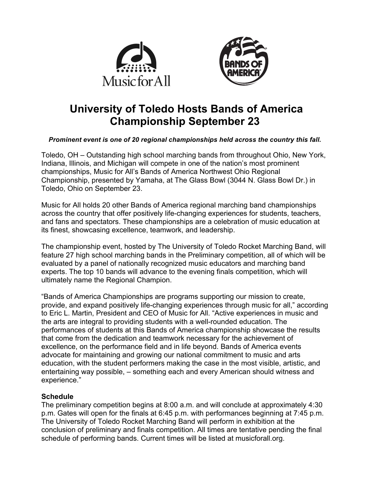



# **University of Toledo Hosts Bands of America Championship September 23**

## *Prominent event is one of 20 regional championships held across the country this fall.*

Toledo, OH – Outstanding high school marching bands from throughout Ohio, New York, Indiana, Illinois, and Michigan will compete in one of the nation's most prominent championships, Music for All's Bands of America Northwest Ohio Regional Championship, presented by Yamaha, at The Glass Bowl (3044 N. Glass Bowl Dr.) in Toledo, Ohio on September 23.

Music for All holds 20 other Bands of America regional marching band championships across the country that offer positively life-changing experiences for students, teachers, and fans and spectators. These championships are a celebration of music education at its finest, showcasing excellence, teamwork, and leadership.

The championship event, hosted by The University of Toledo Rocket Marching Band, will feature 27 high school marching bands in the Preliminary competition, all of which will be evaluated by a panel of nationally recognized music educators and marching band experts. The top 10 bands will advance to the evening finals competition, which will ultimately name the Regional Champion.

"Bands of America Championships are programs supporting our mission to create, provide, and expand positively life-changing experiences through music for all," according to Eric L. Martin, President and CEO of Music for All. "Active experiences in music and the arts are integral to providing students with a well-rounded education. The performances of students at this Bands of America championship showcase the results that come from the dedication and teamwork necessary for the achievement of excellence, on the performance field and in life beyond. Bands of America events advocate for maintaining and growing our national commitment to music and arts education, with the student performers making the case in the most visible, artistic, and entertaining way possible, – something each and every American should witness and experience."

## **Schedule**

The preliminary competition begins at 8:00 a.m. and will conclude at approximately 4:30 p.m. Gates will open for the finals at 6:45 p.m. with performances beginning at 7:45 p.m. The University of Toledo Rocket Marching Band will perform in exhibition at the conclusion of preliminary and finals competition. All times are tentative pending the final schedule of performing bands. Current times will be listed at musicforall.org.